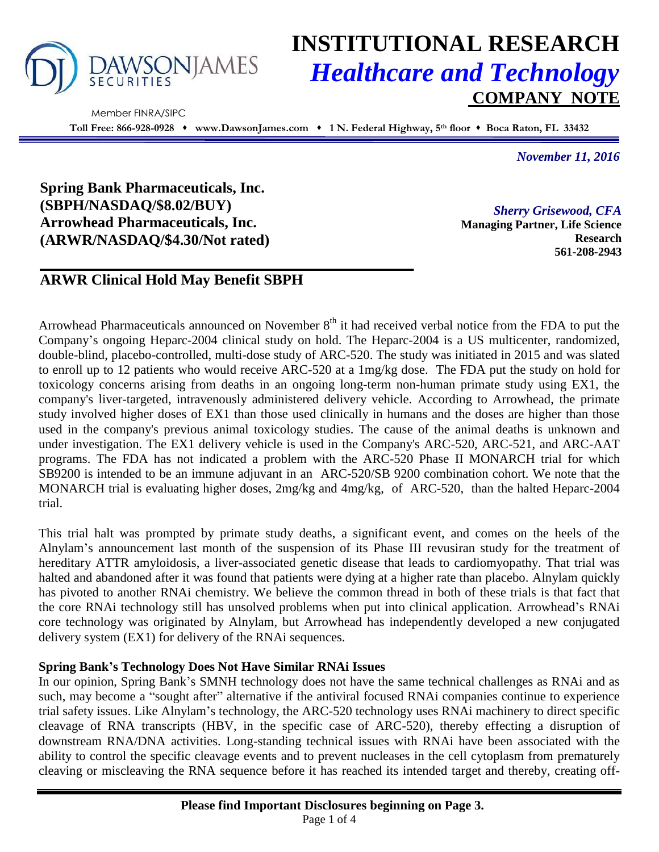

Member FINRA/SIPC

# **INSTITUTIONAL RESEARCH** *Healthcare and Technology* **COMPANY NOTE**

**Toll Free: 866-928-0928 www.DawsonJames.com 1 N. Federal Highway, 5th floor Boca Raton, FL 33432**

*November 11, 2016*

**Spring Bank Pharmaceuticals, Inc. (SBPH/NASDAQ/\$8.02/BUY) Arrowhead Pharmaceuticals, Inc. (ARWR/NASDAQ/\$4.30/Not rated)**

*Sherry Grisewood, CFA* **Managing Partner, Life Science Research 561-208-2943**

# **ARWR Clinical Hold May Benefit SBPH**

Arrowhead Pharmaceuticals announced on November  $8<sup>th</sup>$  it had received verbal notice from the FDA to put the Company's ongoing Heparc-2004 clinical study on hold. The Heparc-2004 is a US multicenter, randomized, double-blind, placebo-controlled, multi-dose study of ARC-520. The study was initiated in 2015 and was slated to enroll up to 12 patients who would receive ARC-520 at a 1mg/kg dose. The FDA put the study on hold for toxicology concerns arising from deaths in an ongoing long-term non-human primate study using EX1, the company's liver-targeted, intravenously administered delivery vehicle. According to Arrowhead, the primate study involved higher doses of EX1 than those used clinically in humans and the doses are higher than those used in the company's previous animal toxicology studies. The cause of the animal deaths is unknown and under investigation. The EX1 delivery vehicle is used in the Company's ARC-520, ARC-521, and ARC-AAT programs. The FDA has not indicated a problem with the ARC-520 Phase II MONARCH trial for which SB9200 is intended to be an immune adjuvant in an ARC-520/SB 9200 combination cohort. We note that the MONARCH trial is evaluating higher doses, 2mg/kg and 4mg/kg, of ARC-520, than the halted Heparc-2004 trial.

This trial halt was prompted by primate study deaths, a significant event, and comes on the heels of the Alnylam's announcement last month of the suspension of its Phase III revusiran study for the treatment of hereditary ATTR amyloidosis, a liver-associated genetic disease that leads to cardiomyopathy. That trial was halted and abandoned after it was found that patients were dying at a higher rate than placebo. Alnylam quickly has pivoted to another RNAi chemistry. We believe the common thread in both of these trials is that fact that the core RNAi technology still has unsolved problems when put into clinical application. Arrowhead's RNAi core technology was originated by Alnylam, but Arrowhead has independently developed a new conjugated delivery system (EX1) for delivery of the RNAi sequences.

#### **Spring Bank's Technology Does Not Have Similar RNAi Issues**

In our opinion, Spring Bank's SMNH technology does not have the same technical challenges as RNAi and as such, may become a "sought after" alternative if the antiviral focused RNAi companies continue to experience trial safety issues. Like Alnylam's technology, the ARC-520 technology uses RNAi machinery to direct specific cleavage of RNA transcripts (HBV, in the specific case of ARC-520), thereby effecting a disruption of downstream RNA/DNA activities. Long-standing technical issues with RNAi have been associated with the ability to control the specific cleavage events and to prevent nucleases in the cell cytoplasm from prematurely cleaving or miscleaving the RNA sequence before it has reached its intended target and thereby, creating off-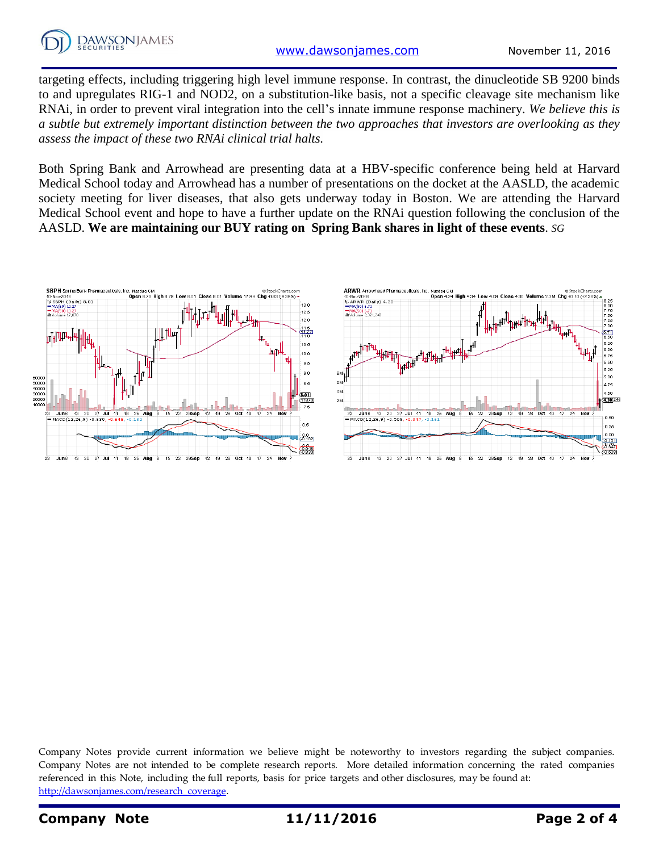

targeting effects, including triggering high level immune response. In contrast, the dinucleotide SB 9200 binds to and upregulates RIG-1 and NOD2, on a substitution-like basis, not a specific cleavage site mechanism like RNAi, in order to prevent viral integration into the cell's innate immune response machinery. *We believe this is a subtle but extremely important distinction between the two approaches that investors are overlooking as they assess the impact of these two RNAi clinical trial halts.*

Both Spring Bank and Arrowhead are presenting data at a HBV-specific conference being held at Harvard Medical School today and Arrowhead has a number of presentations on the docket at the AASLD, the academic society meeting for liver diseases, that also gets underway today in Boston. We are attending the Harvard Medical School event and hope to have a further update on the RNAi question following the conclusion of the AASLD. **We are maintaining our BUY rating on Spring Bank shares in light of these events**. *SG*



Company Notes provide current information we believe might be noteworthy to investors regarding the subject companies. Company Notes are not intended to be complete research reports. More detailed information concerning the rated companies referenced in this Note, including the full reports, basis for price targets and other disclosures, may be found at: [http://dawsonjames.com/research\\_coverage.](http://dawsonjames.com/research_coverage)

## **Company Note 11/11/2016 Page 2 of 4**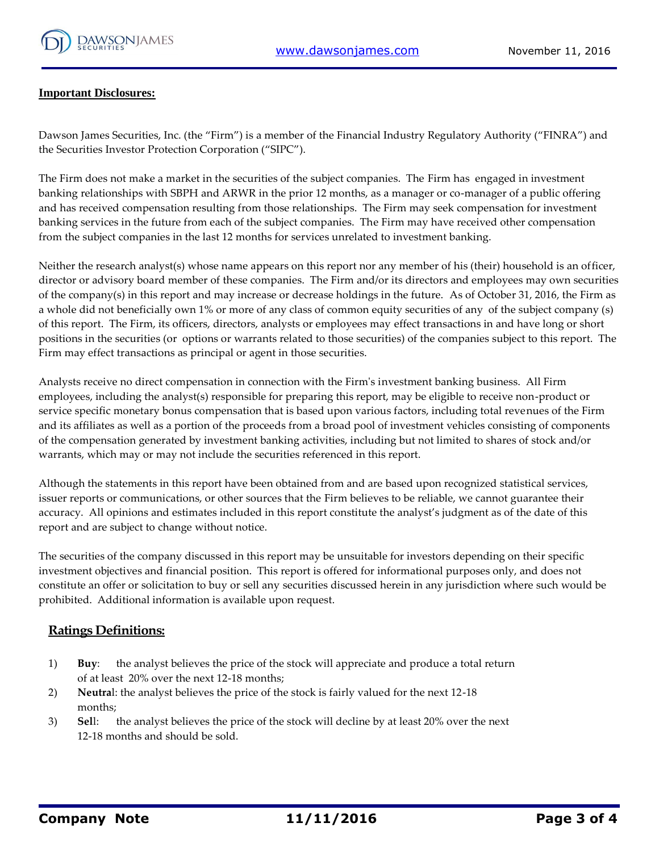

#### **Important Disclosures:**

Dawson James Securities, Inc. (the "Firm") is a member of the Financial Industry Regulatory Authority ("FINRA") and the Securities Investor Protection Corporation ("SIPC").

The Firm does not make a market in the securities of the subject companies. The Firm has engaged in investment banking relationships with SBPH and ARWR in the prior 12 months, as a manager or co-manager of a public offering and has received compensation resulting from those relationships. The Firm may seek compensation for investment banking services in the future from each of the subject companies. The Firm may have received other compensation from the subject companies in the last 12 months for services unrelated to investment banking.

Neither the research analyst(s) whose name appears on this report nor any member of his (their) household is an officer, director or advisory board member of these companies. The Firm and/or its directors and employees may own securities of the company(s) in this report and may increase or decrease holdings in the future. As of October 31, 2016, the Firm as a whole did not beneficially own 1% or more of any class of common equity securities of any of the subject company (s) of this report. The Firm, its officers, directors, analysts or employees may effect transactions in and have long or short positions in the securities (or options or warrants related to those securities) of the companies subject to this report. The Firm may effect transactions as principal or agent in those securities.

Analysts receive no direct compensation in connection with the Firm's investment banking business. All Firm employees, including the analyst(s) responsible for preparing this report, may be eligible to receive non-product or service specific monetary bonus compensation that is based upon various factors, including total revenues of the Firm and its affiliates as well as a portion of the proceeds from a broad pool of investment vehicles consisting of components of the compensation generated by investment banking activities, including but not limited to shares of stock and/or warrants, which may or may not include the securities referenced in this report.

Although the statements in this report have been obtained from and are based upon recognized statistical services, issuer reports or communications, or other sources that the Firm believes to be reliable, we cannot guarantee their accuracy. All opinions and estimates included in this report constitute the analyst's judgment as of the date of this report and are subject to change without notice.

The securities of the company discussed in this report may be unsuitable for investors depending on their specific investment objectives and financial position. This report is offered for informational purposes only, and does not constitute an offer or solicitation to buy or sell any securities discussed herein in any jurisdiction where such would be prohibited. Additional information is available upon request.

#### **Ratings Definitions:**

- 1) **Buy**: the analyst believes the price of the stock will appreciate and produce a total return of at least 20% over the next 12-18 months;
- 2) **Neutra**l: the analyst believes the price of the stock is fairly valued for the next 12-18 months;
- 3) **Sel**l: the analyst believes the price of the stock will decline by at least 20% over the next 12-18 months and should be sold.